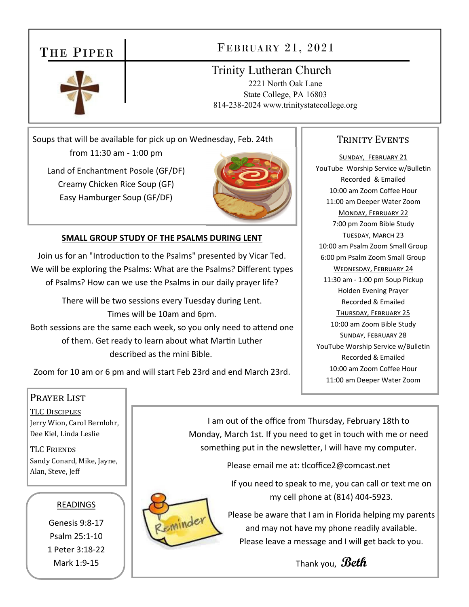## THE PIPER

### FEBRUARY 21, 2021

### Trinity Lutheran Church

2221 North Oak Lane State College, PA 16803 814-238-2024 www.trinitystatecollege.org

Soups that will be available for pick up on Wednesday, Feb. 24th from 11:30 am ‐ 1:00 pm

Land of Enchantment Posole (GF/DF) Creamy Chicken Rice Soup (GF) Easy Hamburger Soup (GF/DF)



### **SMALL GROUP STUDY OF THE PSALMS DURING LENT**

Join us for an "Introduction to the Psalms" presented by Vicar Ted. We will be exploring the Psalms: What are the Psalms? Different types of Psalms? How can we use the Psalms in our daily prayer life?

There will be two sessions every Tuesday during Lent. Times will be 10am and 6pm. Both sessions are the same each week, so you only need to attend one of them. Get ready to learn about what Martin Luther described as the mini Bible.

Zoom for 10 am or 6 pm and will start Feb 23rd and end March 23rd.

### TRINITY EVENTS

SUNDAY, FEBRUARY 21 YouTube Worship Service w/Bulletin Recorded & Emailed 10:00 am Zoom Coffee Hour 11:00 am Deeper Water Zoom MONDAY, FEBRUARY 22 7:00 pm Zoom Bible Study TUESDAY, MARCH 23 10:00 am Psalm Zoom Small Group 6:00 pm Psalm Zoom Small Group WEDNESDAY, FEBRUARY 24 11:30 am ‐ 1:00 pm Soup Pickup Holden Evening Prayer Recorded & Emailed THURSDAY, FEBRUARY 25 10:00 am Zoom Bible Study SUNDAY, FEBRUARY 28 YouTube Worship Service w/Bulletin Recorded & Emailed 10:00 am Zoom Coffee Hour 11:00 am Deeper Water Zoom

### Prayer List

TLC DISCIPLES Jerry Wion, Carol Bernlohr, Dee Kiel, Linda Leslie

**TLC FRIENDS** Sandy Conard, Mike, Jayne, Alan, Steve, Jeff

### READINGS

Genesis 9:8‐17 Psalm 25:1‐10 1 Peter 3:18‐22 Mark 1:9‐15

I am out of the office from Thursday, February 18th to Monday, March 1st. If you need to get in touch with me or need something put in the newsletter, I will have my computer.

Please email me at: tlcoffice2@comcast.net

If you need to speak to me, you can call or text me on my cell phone at (814) 404‐5923.



Please be aware that I am in Florida helping my parents and may not have my phone readily available. Please leave a message and I will get back to you.

Thank you, **Beth**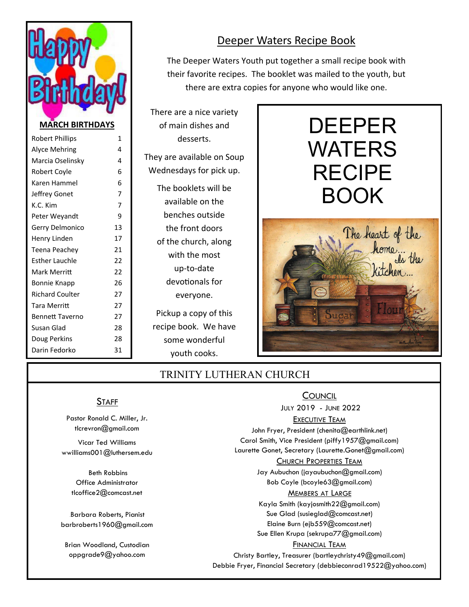

### Robert Phillips 1 Alyce Mehring 4 Marcia Oselinsky **4** Robert Coyle **6** Karen Hammel 6 Jeffrey Gonet 7 K.C. Kim 7 Peter Wevandt 9 Gerry Delmonico 13 Henry Linden 17 Teena Peachey 21 Esther Lauchle **22** Mark Merritt 22 Bonnie Knapp 26 Richard Coulter 27 Tara Merritt 27 Bennett Taverno 27 Susan Glad 28 Doug Perkins 28 Darin Fedorko 31

### Deeper Waters Recipe Book

The Deeper Waters Youth put together a small recipe book with their favorite recipes. The booklet was mailed to the youth, but there are extra copies for anyone who would like one.

There are a nice variety of main dishes and desserts.

They are available on Soup Wednesdays for pick up.

The booklets will be available on the benches outside the front doors of the church, along with the most up‐to‐date devotionals for everyone. Pickup a copy of this recipe book. We have some wonderful

youth cooks.



### TRINITY LUTHERAN CHURCH

### **STAFF**

Pastor Ronald C. Miller, Jr. tlcrevron@gmail.com

Vicar Ted Williams wwilliams001@luthersem.edu

> Beth Robbins Office Administrator tlcoffice2@comcast.net

Barbara Roberts, Pianist barbroberts1960@gmail.com

Brian Woodland, Custodian oppgrade9@yahoo.com

### **COUNCIL**

JULY 2019 - JUNE 2022

### EXECUTIVE TEAM

John Fryer, President (chenita@earthlink.net) Carol Smith, Vice President (piffy1957@gmail.com) Laurette Gonet, Secretary (Laurette.Gonet@gmail.com)

### CHURCH PROPERTIES TEAM

Jay Aubuchon (jayaubuchon@gmail.com) Bob Coyle (bcoyle63@gmail.com)

#### MEMBERS AT LARGE

Kayla Smith (kayjosmith22@gmail.com) Sue Glad (susieglad@comcast.net) Elaine Burn (ejb559@comcast.net) Sue Ellen Krupa (sekrupa77@gmail.com) FINANCIAL TEAM

Christy Bartley, Treasurer (bartleychristy49@gmail.com) Debbie Fryer, Financial Secretary (debbieconrad19522@yahoo.com)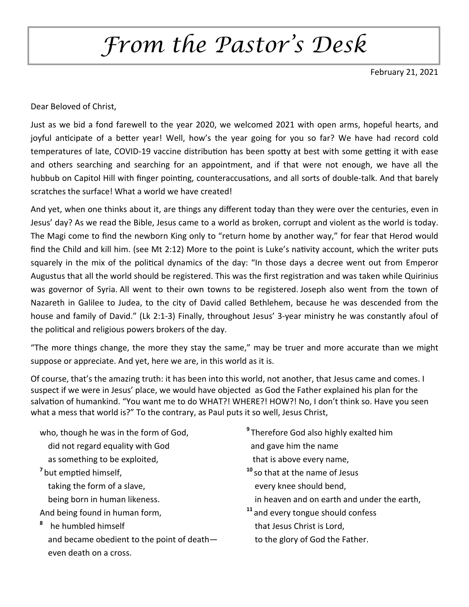# *From the Pastor's Desk*

February 21, 2021

Dear Beloved of Christ,

Just as we bid a fond farewell to the year 2020, we welcomed 2021 with open arms, hopeful hearts, and joyful anticipate of a better year! Well, how's the year going for you so far? We have had record cold temperatures of late, COVID-19 vaccine distribution has been spotty at best with some getting it with ease and others searching and searching for an appointment, and if that were not enough, we have all the hubbub on Capitol Hill with finger pointing, counteraccusations, and all sorts of double-talk. And that barely scratches the surface! What a world we have created!

And yet, when one thinks about it, are things any different today than they were over the centuries, even in Jesus' day? As we read the Bible, Jesus came to a world as broken, corrupt and violent as the world is today. The Magi come to find the newborn King only to "return home by another way," for fear that Herod would find the Child and kill him. (see Mt 2:12) More to the point is Luke's nativity account, which the writer puts squarely in the mix of the political dynamics of the day: "In those days a decree went out from Emperor Augustus that all the world should be registered. This was the first registration and was taken while Quirinius was governor of Syria. All went to their own towns to be registered. Joseph also went from the town of Nazareth in Galilee to Judea, to the city of David called Bethlehem, because he was descended from the house and family of David." (Lk 2:1-3) Finally, throughout Jesus' 3-year ministry he was constantly afoul of the political and religious powers brokers of the day.

"The more things change, the more they stay the same," may be truer and more accurate than we might suppose or appreciate. And yet, here we are, in this world as it is.

Of course, that's the amazing truth: it has been into this world, not another, that Jesus came and comes. I suspect if we were in Jesus' place, we would have objected as God the Father explained his plan for the salvation of humankind. "You want me to do WHAT?! WHERE?! HOW?! No, I don't think so. Have you seen what a mess that world is?" To the contrary, as Paul puts it so well, Jesus Christ,

who, though he was in the form of God, **8**Therefore God also highly exalted him

- did not regard equality with God **shipped and gave him the name**
- as something to be exploited,  $\qquad \qquad$  that is above every name,
- -
	- being born in human likeness.  $\qquad \qquad$  in heaven and on earth and under the earth,
- 
- **<sup>8</sup>** he humbled himself that Jesus Christ is Lord, and became obedient to the point of death — to the glory of God the Father. even death on a cross.
- 
- <sup>7</sup>but emptied himself, *n* 10<sup>s</sup>so that at the name of Jesus taking the form of a slave, the state of the state of the should bend,
- And being found in human form,  $11$ <sub>and every tongue should confess</sub>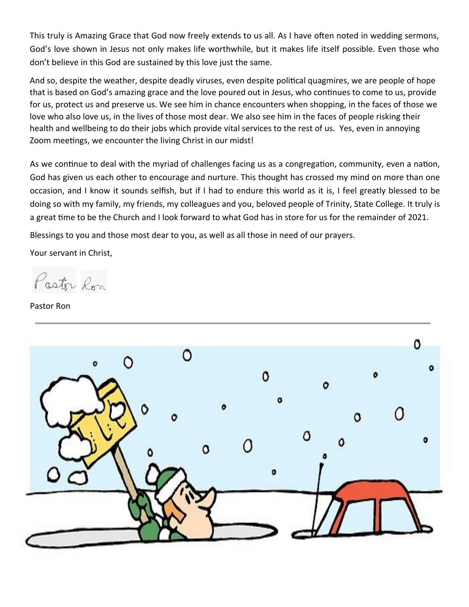This truly is Amazing Grace that God now freely extends to us all. As I have often noted in wedding sermons, God's love shown in Jesus not only makes life worthwhile, but it makes life itself possible. Even those who don't believe in this God are sustained by this love just the same.

And so, despite the weather, despite deadly viruses, even despite political quagmires, we are people of hope that is based on God's amazing grace and the love poured out in Jesus, who continues to come to us, provide for us, protect us and preserve us. We see him in chance encounters when shopping, in the faces of those we love who also love us, in the lives of those most dear. We also see him in the faces of people risking their health and wellbeing to do their jobs which provide vital services to the rest of us. Yes, even in annoying Zoom meetings, we encounter the living Christ in our midst!

As we continue to deal with the myriad of challenges facing us as a congregation, community, even a nation, God has given us each other to encourage and nurture. This thought has crossed my mind on more than one occasion, and I know it sounds selfish, but if I had to endure this world as it is, I feel greatly blessed to be doing so with my family, my friends, my colleagues and you, beloved people of Trinity, State College. It truly is a great time to be the Church and I look forward to what God has in store for us for the remainder of 2021.

Blessings to you and those most dear to you, as well as all those in need of our prayers.

Your servant in Christ,

Pastor Ron

Pastor Ron